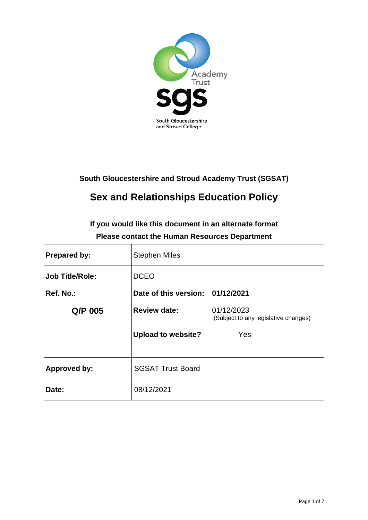

# **South Gloucestershire and Stroud Academy Trust (SGSAT)**

# **Sex and Relationships Education Policy**

**If you would like this document in an alternate format Please contact the Human Resources Department**

| <b>Prepared by:</b>    | <b>Stephen Miles</b>             |                                                    |
|------------------------|----------------------------------|----------------------------------------------------|
| <b>Job Title/Role:</b> | <b>DCEO</b>                      |                                                    |
| Ref. No.:              | Date of this version: 01/12/2021 |                                                    |
| Q/P 005                | <b>Review date:</b>              | 01/12/2023<br>(Subject to any legislative changes) |
|                        | <b>Upload to website?</b>        | Yes                                                |
| <b>Approved by:</b>    | <b>SGSAT Trust Board</b>         |                                                    |
| Date:                  | 08/12/2021                       |                                                    |

٦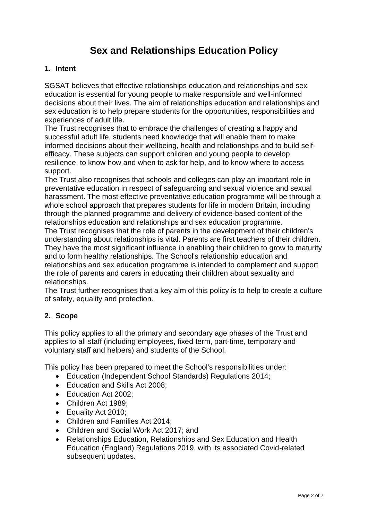# **Sex and Relationships Education Policy**

#### **1. Intent**

SGSAT believes that effective relationships education and relationships and sex education is essential for young people to make responsible and well-informed decisions about their lives. The aim of relationships education and relationships and sex education is to help prepare students for the opportunities, responsibilities and experiences of adult life.

The Trust recognises that to embrace the challenges of creating a happy and successful adult life, students need knowledge that will enable them to make informed decisions about their wellbeing, health and relationships and to build selfefficacy. These subjects can support children and young people to develop resilience, to know how and when to ask for help, and to know where to access support.

The Trust also recognises that schools and colleges can play an important role in preventative education in respect of safeguarding and sexual violence and sexual harassment. The most effective preventative education programme will be through a whole school approach that prepares students for life in modern Britain, including through the planned programme and delivery of evidence-based content of the relationships education and relationships and sex education programme.

The Trust recognises that the role of parents in the development of their children's understanding about relationships is vital. Parents are first teachers of their children. They have the most significant influence in enabling their children to grow to maturity and to form healthy relationships. The School's relationship education and relationships and sex education programme is intended to complement and support the role of parents and carers in educating their children about sexuality and relationships.

The Trust further recognises that a key aim of this policy is to help to create a culture of safety, equality and protection.

### **2. Scope**

This policy applies to all the primary and secondary age phases of the Trust and applies to all staff (including employees, fixed term, part-time, temporary and voluntary staff and helpers) and students of the School.

This policy has been prepared to meet the School's responsibilities under:

- Education (Independent School Standards) Regulations 2014;
- Education and Skills Act 2008;
- Education Act 2002;
- Children Act 1989;
- Equality Act 2010;
- Children and Families Act 2014;
- Children and Social Work Act 2017; and
- Relationships Education, Relationships and Sex Education and Health Education (England) Regulations 2019, with its associated Covid-related subsequent updates.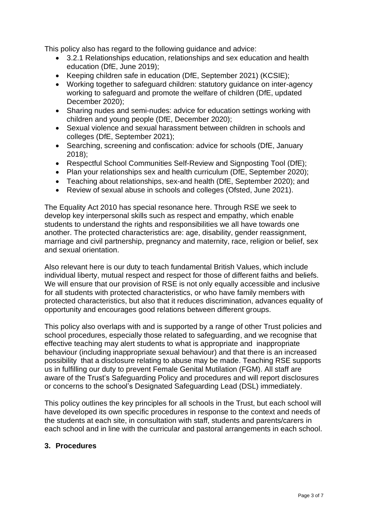This policy also has regard to the following guidance and advice:

- 3.2.1 Relationships education, relationships and sex education and health education (DfE, June 2019);
- Keeping children safe in education (DfE, September 2021) (KCSIE);
- Working together to safeguard children: statutory guidance on inter-agency working to safeguard and promote the welfare of children (DfE, updated December 2020);
- Sharing nudes and semi-nudes: advice for education settings working with children and young people (DfE, December 2020);
- Sexual violence and sexual harassment between children in schools and colleges (DfE, September 2021);
- Searching, screening and confiscation: advice for schools (DfE, January 2018);
- Respectful School Communities Self-Review and Signposting Tool (DfE);
- Plan your relationships sex and health curriculum (DfE, September 2020);
- Teaching about relationships, sex-and health (DfE, September 2020); and
- Review of sexual abuse in schools and colleges (Ofsted, June 2021).

The Equality Act 2010 has special resonance here. Through RSE we seek to develop key interpersonal skills such as respect and empathy, which enable students to understand the rights and responsibilities we all have towards one another. The protected characteristics are: age, disability, gender reassignment, marriage and civil partnership, pregnancy and maternity, race, religion or belief, sex and sexual orientation.

Also relevant here is our duty to teach fundamental British Values, which include individual liberty, mutual respect and respect for those of different faiths and beliefs. We will ensure that our provision of RSE is not only equally accessible and inclusive for all students with protected characteristics, or who have family members with protected characteristics, but also that it reduces discrimination, advances equality of opportunity and encourages good relations between different groups.

This policy also overlaps with and is supported by a range of other Trust policies and school procedures, especially those related to safeguarding, and we recognise that effective teaching may alert students to what is appropriate and inappropriate behaviour (including inappropriate sexual behaviour) and that there is an increased possibility that a disclosure relating to abuse may be made. Teaching RSE supports us in fulfilling our duty to prevent Female Genital Mutilation (FGM). All staff are aware of the Trust's Safeguarding Policy and procedures and will report disclosures or concerns to the school's Designated Safeguarding Lead (DSL) immediately.

This policy outlines the key principles for all schools in the Trust, but each school will have developed its own specific procedures in response to the context and needs of the students at each site, in consultation with staff, students and parents/carers in each school and in line with the curricular and pastoral arrangements in each school.

#### **3. Procedures**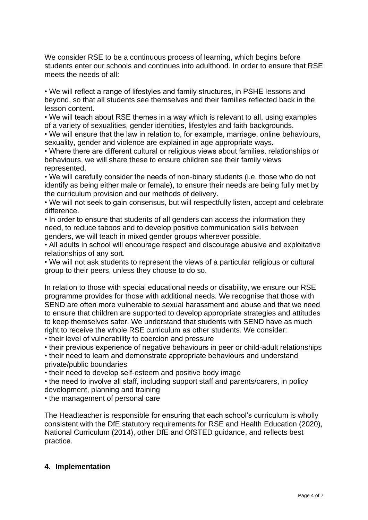We consider RSE to be a continuous process of learning, which begins before students enter our schools and continues into adulthood. In order to ensure that RSE meets the needs of all:

• We will reflect a range of lifestyles and family structures, in PSHE lessons and beyond, so that all students see themselves and their families reflected back in the lesson content.

• We will teach about RSE themes in a way which is relevant to all, using examples of a variety of sexualities, gender identities, lifestyles and faith backgrounds.

• We will ensure that the law in relation to, for example, marriage, online behaviours, sexuality, gender and violence are explained in age appropriate ways.

• Where there are different cultural or religious views about families, relationships or behaviours, we will share these to ensure children see their family views represented.

• We will carefully consider the needs of non-binary students (i.e. those who do not identify as being either male or female), to ensure their needs are being fully met by the curriculum provision and our methods of delivery.

• We will not seek to gain consensus, but will respectfully listen, accept and celebrate difference.

• In order to ensure that students of all genders can access the information they need, to reduce taboos and to develop positive communication skills between genders, we will teach in mixed gender groups wherever possible.

• All adults in school will encourage respect and discourage abusive and exploitative relationships of any sort.

• We will not ask students to represent the views of a particular religious or cultural group to their peers, unless they choose to do so.

In relation to those with special educational needs or disability, we ensure our RSE programme provides for those with additional needs. We recognise that those with SEND are often more vulnerable to sexual harassment and abuse and that we need to ensure that children are supported to develop appropriate strategies and attitudes to keep themselves safer. We understand that students with SEND have as much right to receive the whole RSE curriculum as other students. We consider:

- their level of vulnerability to coercion and pressure
- their previous experience of negative behaviours in peer or child-adult relationships

• their need to learn and demonstrate appropriate behaviours and understand private/public boundaries

• their need to develop self-esteem and positive body image

• the need to involve all staff, including support staff and parents/carers, in policy development, planning and training

• the management of personal care

The Headteacher is responsible for ensuring that each school's curriculum is wholly consistent with the DfE statutory requirements for RSE and Health Education (2020), National Curriculum (2014), other DfE and OfSTED guidance, and reflects best practice.

#### **4. Implementation**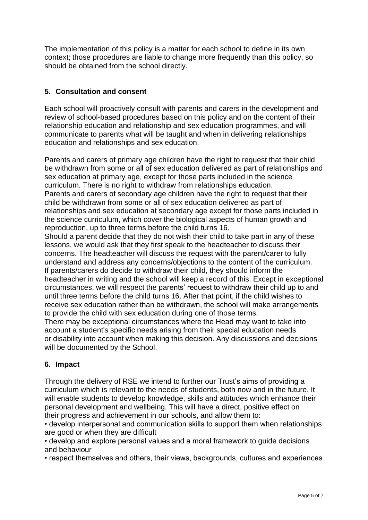The implementation of this policy is a matter for each school to define in its own context; those procedures are liable to change more frequently than this policy, so should be obtained from the school directly.

## **5. Consultation and consent**

Each school will proactively consult with parents and carers in the development and review of school-based procedures based on this policy and on the content of their relationship education and relationship and sex education programmes, and will communicate to parents what will be taught and when in delivering relationships education and relationships and sex education.

Parents and carers of primary age children have the right to request that their child be withdrawn from some or all of sex education delivered as part of relationships and sex education at primary age, except for those parts included in the science curriculum. There is no right to withdraw from relationships education. Parents and carers of secondary age children have the right to request that their child be withdrawn from some or all of sex education delivered as part of relationships and sex education at secondary age except for those parts included in the science curriculum, which cover the biological aspects of human growth and reproduction, up to three terms before the child turns 16. Should a parent decide that they do not wish their child to take part in any of these lessons, we would ask that they first speak to the headteacher to discuss their concerns. The headteacher will discuss the request with the parent/carer to fully understand and address any concerns/objections to the content of the curriculum. If parents/carers do decide to withdraw their child, they should inform the

headteacher in writing and the school will keep a record of this. Except in exceptional circumstances, we will respect the parents' request to withdraw their child up to and until three terms before the child turns 16. After that point, if the child wishes to receive sex education rather than be withdrawn, the school will make arrangements to provide the child with sex education during one of those terms.

There may be exceptional circumstances where the Head may want to take into account a student's specific needs arising from their special education needs or disability into account when making this decision. Any discussions and decisions will be documented by the School.

### **6. Impact**

Through the delivery of RSE we intend to further our Trust's aims of providing a curriculum which is relevant to the needs of students, both now and in the future. It will enable students to develop knowledge, skills and attitudes which enhance their personal development and wellbeing. This will have a direct, positive effect on their progress and achievement in our schools, and allow them to:

• develop interpersonal and communication skills to support them when relationships are good or when they are difficult

• develop and explore personal values and a moral framework to guide decisions and behaviour

• respect themselves and others, their views, backgrounds, cultures and experiences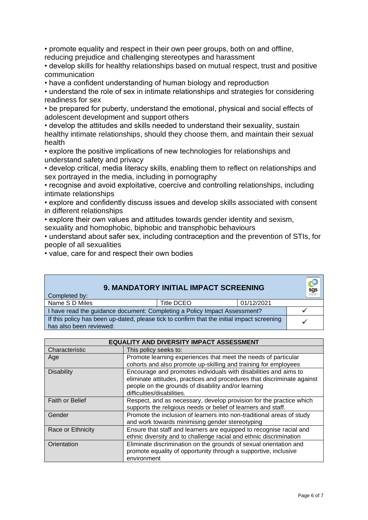• promote equality and respect in their own peer groups, both on and offline, reducing prejudice and challenging stereotypes and harassment

• develop skills for healthy relationships based on mutual respect, trust and positive communication

• have a confident understanding of human biology and reproduction

• understand the role of sex in intimate relationships and strategies for considering readiness for sex

• be prepared for puberty, understand the emotional, physical and social effects of adolescent development and support others

• develop the attitudes and skills needed to understand their sexuality, sustain healthy intimate relationships, should they choose them, and maintain their sexual health

• explore the positive implications of new technologies for relationships and understand safety and privacy

• develop critical, media literacy skills, enabling them to reflect on relationships and sex portrayed in the media, including in pornography

• recognise and avoid exploitative, coercive and controlling relationships, including intimate relationships

• explore and confidently discuss issues and develop skills associated with consent in different relationships

• explore their own values and attitudes towards gender identity and sexism,

sexuality and homophobic, biphobic and transphobic behaviours

• understand about safer sex, including contraception and the prevention of STIs, for people of all sexualities

• value, care for and respect their own bodies

|                                                                           |            | sgs                                                                                                                                        |
|---------------------------------------------------------------------------|------------|--------------------------------------------------------------------------------------------------------------------------------------------|
| Title DCEO                                                                | 01/12/2021 |                                                                                                                                            |
| I have read the guidance document: Completing a Policy Impact Assessment? |            |                                                                                                                                            |
|                                                                           |            |                                                                                                                                            |
|                                                                           |            | <b>9. MANDATORY INITIAL IMPACT SCREENING</b><br>If this policy has been up-dated, please tick to confirm that the initial impact screening |

| <b>EQUALITY AND DIVERSITY IMPACT ASSESSMENT</b> |                                                                         |  |
|-------------------------------------------------|-------------------------------------------------------------------------|--|
| Characteristic                                  | This policy seeks to:                                                   |  |
| Age                                             | Promote learning experiences that meet the needs of particular          |  |
|                                                 | cohorts and also promote up-skilling and training for employees         |  |
| <b>Disability</b>                               | Encourage and promotes individuals with disabilities and aims to        |  |
|                                                 | eliminate attitudes, practices and procedures that discriminate against |  |
|                                                 | people on the grounds of disability and/or learning                     |  |
|                                                 | difficulties/disabilities.                                              |  |
| <b>Faith or Belief</b>                          | Respect, and as necessary, develop provision for the practice which     |  |
|                                                 | supports the religious needs or belief of learners and staff.           |  |
| Gender                                          | Promote the inclusion of learners into non-traditional areas of study   |  |
|                                                 | and work towards minimising gender stereotyping                         |  |
| Race or Ethnicity                               | Ensure that staff and learners are equipped to recognise racial and     |  |
|                                                 | ethnic diversity and to challenge racial and ethnic discrimination      |  |
| Orientation                                     | Eliminate discrimination on the grounds of sexual orientation and       |  |
|                                                 | promote equality of opportunity through a supportive, inclusive         |  |
|                                                 | environment                                                             |  |